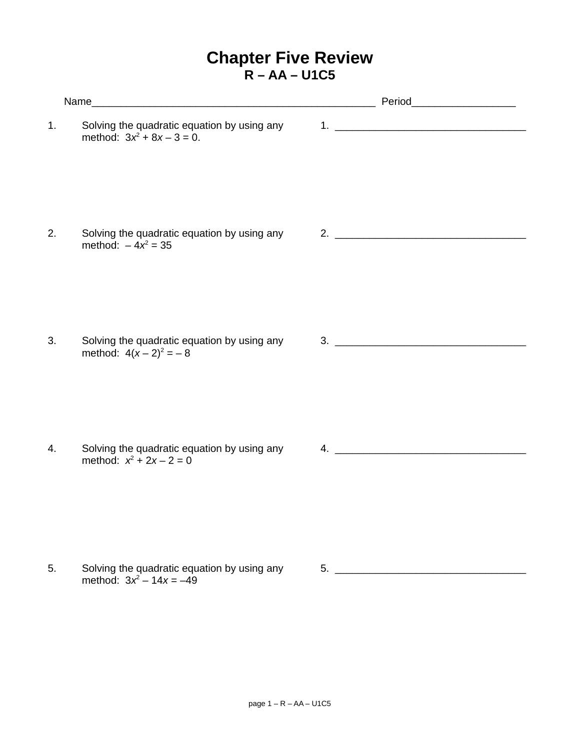## **Chapter Five Review R – AA – U1C5**

| 1. | Solving the quadratic equation by using any<br>method: $3x^2 + 8x - 3 = 0$ . | 1. $\overline{\phantom{a}}$ |  |
|----|------------------------------------------------------------------------------|-----------------------------|--|
| 2. | Solving the quadratic equation by using any<br>method: $-4x^2 = 35$          | 2. $\overline{\phantom{a}}$ |  |
| 3. | Solving the quadratic equation by using any<br>method: $4(x-2)^2 = -8$       | $\overline{\mathbf{3.}}$    |  |
| 4. | Solving the quadratic equation by using any<br>method: $x^2 + 2x - 2 = 0$    | 4.                          |  |
| 5. | Solving the quadratic equation by using any                                  | 5.                          |  |

method:  $3x^2 - 14x = -49$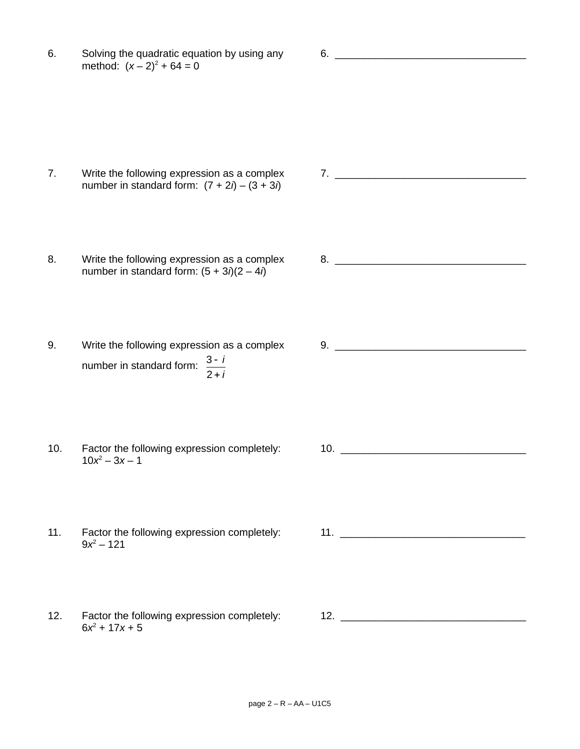6. Solving the quadratic equation by using any 6. \_\_\_\_\_\_\_\_\_\_\_\_\_\_\_\_\_\_\_\_\_\_\_\_\_\_\_\_\_\_\_\_\_ method:  $(x - 2)^2 + 64 = 0$ 

- 7. Write the following expression as a complex  $\begin{array}{ccc} 7. & \underline{\hspace{1cm}} & \underline{\hspace{1cm}} & \underline{\hspace{1cm}} & \underline{\hspace{1cm}} & \underline{\hspace{1cm}} & \underline{\hspace{1cm}} & \underline{\hspace{1cm}} & \underline{\hspace{1cm}} & \underline{\hspace{1cm}} & \underline{\hspace{1cm}} & \underline{\hspace{1cm}} & \underline{\hspace{1cm}} & \underline{\hspace{1cm}} & \underline{\hspace{1cm}} & \underline{\hspace{1cm}} & \underline{\hspace{1cm}} & \underline{\$ number in standard form:  $(7 + 2i) - (3 + 3i)$
- 8. Write the following expression as a complex  $\begin{array}{ccc} 8. & \begin{array}{ccc} \text{\textcolor{blue}{\large 1}} & \text{\textcolor{blue}{\large 8}} \\ \text{\textcolor{blue}{\large 9}} & \text{\textcolor{blue}{\large 1}} & \text{\textcolor{blue}{\large 9}} \\ \text{\textcolor{blue}{\large 9}} & \text{\textcolor{blue}{\large 9}} & \text{\textcolor{blue}{\large 9}} \\ \text{\textcolor{blue}{\large 9}} & \text{\textcolor{blue}{\large 9}} & \text{\textcolor{blue}{\large 9}} \\ \text$ number in standard form:  $(5 + 3*i*)(2 – 4*i*)$
- 9. Write the following expression as a complex  $\qquad 9.$ number in standard form:  $\frac{3-i}{2}$ 2 *i*
- 10. Factor the following expression completely: 10.  $10x^2 - 3x - 1$
- 11. Factor the following expression completely: 11. \_\_\_\_\_\_\_\_\_\_\_\_\_\_\_\_\_\_\_\_\_\_\_\_\_\_\_\_  $9x^2 - 121$
- 12. Factor the following expression completely: 12. \_\_\_\_\_\_\_\_\_\_\_\_\_\_\_\_\_\_\_\_\_\_\_\_\_\_\_\_  $6x^2 + 17x + 5$

- 
-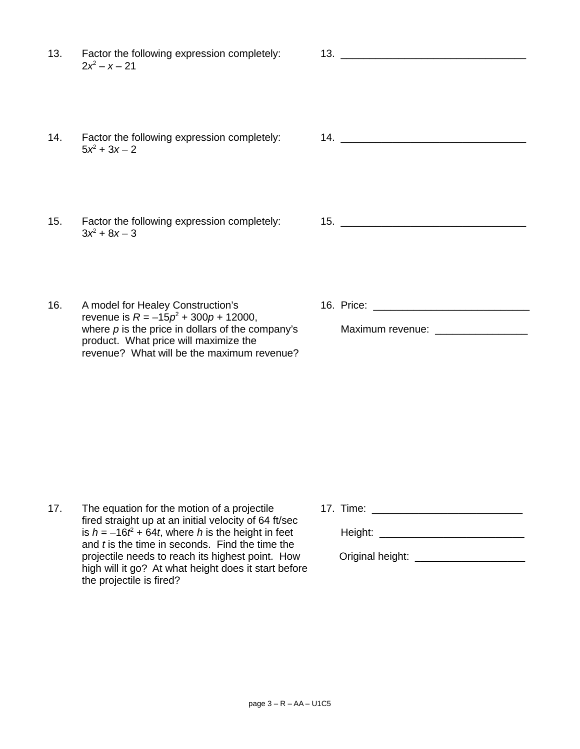13. Factor the following expression completely: 13. \_\_\_\_\_\_\_\_\_\_\_\_\_\_\_\_\_\_\_\_\_\_\_\_\_\_\_\_  $2x^2 - x - 21$ 

- 14. Factor the following expression completely: 14. \_\_\_\_\_\_\_\_\_\_\_\_\_\_\_\_\_\_\_\_\_\_\_\_\_\_\_\_  $5x^2 + 3x - 2$
- 15. Factor the following expression completely: 15. \_\_\_\_\_\_\_\_\_\_\_\_\_\_\_\_\_\_\_\_\_\_\_\_\_\_\_\_  $3x^2 + 8x - 3$
- 16. A model for Healey Construction's 16. Price: 16. Price: revenue is  $R = -15p^2 + 300p + 12000$ , where *p* is the price in dollars of the company's Maximum revenue: \_\_\_\_\_\_\_\_\_\_\_\_\_ product. What price will maximize the revenue? What will be the maximum revenue?
- 

17. The equation for the motion of a projectile 17. Time: 17. Time: fired straight up at an initial velocity of 64 ft/sec is *h* = –16*t* 2 and *t* is the time in seconds. Find the time the projectile needs to reach its highest point. How Criginal height: high will it go? At what height does it start before the projectile is fired?

+ 64*t*, where *h* is the height in feet Height: \_\_\_\_\_\_\_\_\_\_\_\_\_\_\_\_\_\_\_\_\_\_\_\_\_